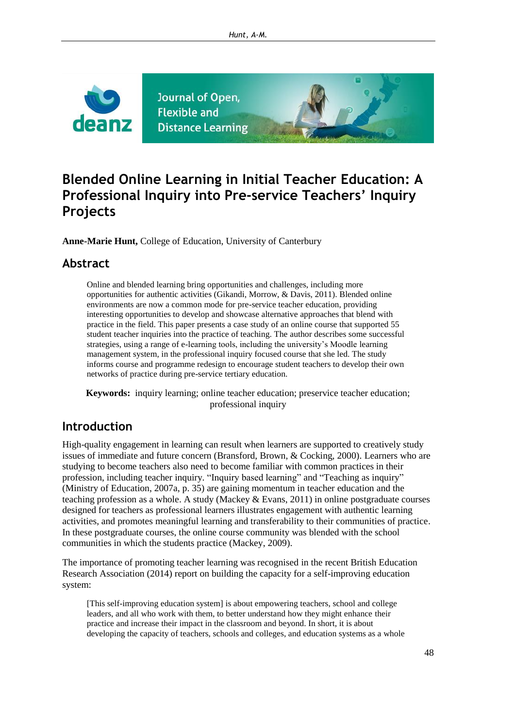

# **Blended Online Learning in Initial Teacher Education: A Professional Inquiry into Pre-service Teachers' Inquiry Projects**

**Anne-Marie Hunt,** College of Education, University of Canterbury

### **Abstract**

Online and blended learning bring opportunities and challenges, including more opportunities for authentic activities (Gikandi, Morrow, & Davis, 2011). Blended online environments are now a common mode for pre-service teacher education, providing interesting opportunities to develop and showcase alternative approaches that blend with practice in the field. This paper presents a case study of an online course that supported 55 student teacher inquiries into the practice of teaching. The author describes some successful strategies, using a range of e-learning tools, including the university's Moodle learning management system, in the professional inquiry focused course that she led. The study informs course and programme redesign to encourage student teachers to develop their own networks of practice during pre-service tertiary education.

**Keywords:** inquiry learning; online teacher education; preservice teacher education; professional inquiry

## **Introduction**

High-quality engagement in learning can result when learners are supported to creatively study issues of immediate and future concern (Bransford, Brown, & Cocking, 2000). Learners who are studying to become teachers also need to become familiar with common practices in their profession, including teacher inquiry. "Inquiry based learning" and "Teaching as inquiry" (Ministry of Education, 2007a, p. 35) are gaining momentum in teacher education and the teaching profession as a whole. A study (Mackey & Evans, 2011) in online postgraduate courses designed for teachers as professional learners illustrates engagement with authentic learning activities, and promotes meaningful learning and transferability to their communities of practice. In these postgraduate courses, the online course community was blended with the school communities in which the students practice (Mackey, 2009).

The importance of promoting teacher learning was recognised in the recent British Education Research Association (2014) report on building the capacity for a self-improving education system:

[This self-improving education system] is about empowering teachers, school and college leaders, and all who work with them, to better understand how they might enhance their practice and increase their impact in the classroom and beyond. In short, it is about developing the capacity of teachers, schools and colleges, and education systems as a whole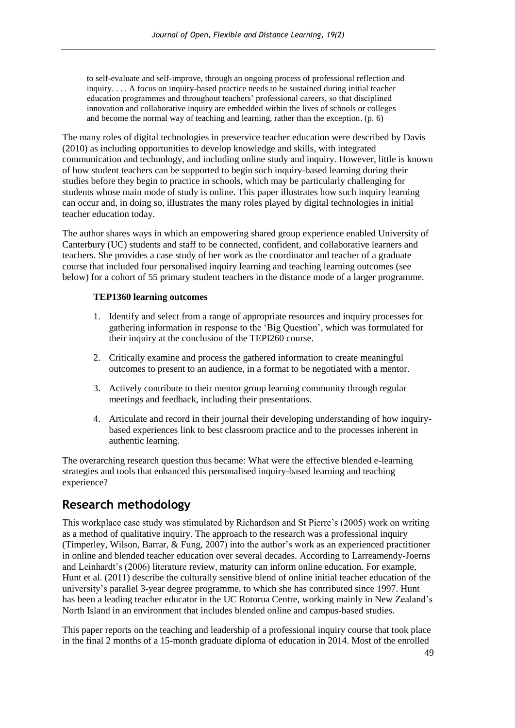to self-evaluate and self-improve, through an ongoing process of professional reflection and inquiry. . . . A focus on inquiry-based practice needs to be sustained during initial teacher education programmes and throughout teachers' professional careers, so that disciplined innovation and collaborative inquiry are embedded within the lives of schools or colleges and become the normal way of teaching and learning, rather than the exception. (p. 6)

The many roles of digital technologies in preservice teacher education were described by Davis (2010) as including opportunities to develop knowledge and skills, with integrated communication and technology, and including online study and inquiry. However, little is known of how student teachers can be supported to begin such inquiry-based learning during their studies before they begin to practice in schools, which may be particularly challenging for students whose main mode of study is online. This paper illustrates how such inquiry learning can occur and, in doing so, illustrates the many roles played by digital technologies in initial teacher education today.

The author shares ways in which an empowering shared group experience enabled University of Canterbury (UC) students and staff to be connected, confident, and collaborative learners and teachers. She provides a case study of her work as the coordinator and teacher of a graduate course that included four personalised inquiry learning and teaching learning outcomes (see below) for a cohort of 55 primary student teachers in the distance mode of a larger programme.

#### **TEP1360 learning outcomes**

- 1. Identify and select from a range of appropriate resources and inquiry processes for gathering information in response to the 'Big Question', which was formulated for their inquiry at the conclusion of the TEPI260 course.
- 2. Critically examine and process the gathered information to create meaningful outcomes to present to an audience, in a format to be negotiated with a mentor.
- 3. Actively contribute to their mentor group learning community through regular meetings and feedback, including their presentations.
- 4. Articulate and record in their journal their developing understanding of how inquirybased experiences link to best classroom practice and to the processes inherent in authentic learning.

The overarching research question thus became: What were the effective blended e-learning strategies and tools that enhanced this personalised inquiry-based learning and teaching experience?

## **Research methodology**

This workplace case study was stimulated by Richardson and St Pierre's (2005) work on writing as a method of qualitative inquiry. The approach to the research was a professional inquiry (Timperley, Wilson, Barrar, & Fung, 2007) into the author's work as an experienced practitioner in online and blended teacher education over several decades. According to Larreamendy-Joerns and Leinhardt's (2006) literature review, maturity can inform online education. For example, Hunt et al. (2011) describe the culturally sensitive blend of online initial teacher education of the university's parallel 3-year degree programme, to which she has contributed since 1997. Hunt has been a leading teacher educator in the UC Rotorua Centre, working mainly in New Zealand's North Island in an environment that includes blended online and campus-based studies.

This paper reports on the teaching and leadership of a professional inquiry course that took place in the final 2 months of a 15-month graduate diploma of education in 2014. Most of the enrolled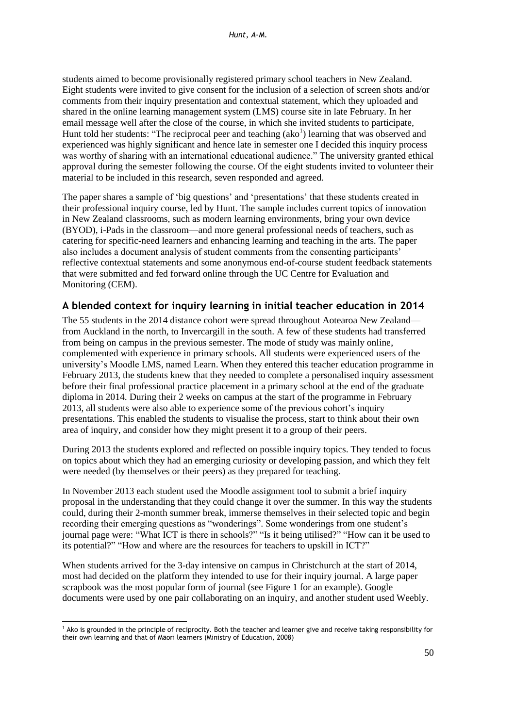students aimed to become provisionally registered primary school teachers in New Zealand. Eight students were invited to give consent for the inclusion of a selection of screen shots and/or comments from their inquiry presentation and contextual statement, which they uploaded and shared in the online learning management system (LMS) course site in late February. In her email message well after the close of the course, in which she invited students to participate, Hunt told her students: "The reciprocal peer and teaching  $(ako<sup>1</sup>)$  learning that was observed and experienced was highly significant and hence late in semester one I decided this inquiry process was worthy of sharing with an international educational audience." The university granted ethical approval during the semester following the course. Of the eight students invited to volunteer their material to be included in this research, seven responded and agreed.

The paper shares a sample of 'big questions' and 'presentations' that these students created in their professional inquiry course, led by Hunt. The sample includes current topics of innovation in New Zealand classrooms, such as modern learning environments, bring your own device (BYOD), i-Pads in the classroom—and more general professional needs of teachers, such as catering for specific-need learners and enhancing learning and teaching in the arts. The paper also includes a document analysis of student comments from the consenting participants' reflective contextual statements and some anonymous end-of-course student feedback statements that were submitted and fed forward online through the UC Centre for Evaluation and Monitoring (CEM).

#### **A blended context for inquiry learning in initial teacher education in 2014**

The 55 students in the 2014 distance cohort were spread throughout Aotearoa New Zealand from Auckland in the north, to Invercargill in the south. A few of these students had transferred from being on campus in the previous semester. The mode of study was mainly online, complemented with experience in primary schools. All students were experienced users of the university's Moodle LMS, named Learn. When they entered this teacher education programme in February 2013, the students knew that they needed to complete a personalised inquiry assessment before their final professional practice placement in a primary school at the end of the graduate diploma in 2014. During their 2 weeks on campus at the start of the programme in February 2013, all students were also able to experience some of the previous cohort's inquiry presentations. This enabled the students to visualise the process, start to think about their own area of inquiry, and consider how they might present it to a group of their peers.

During 2013 the students explored and reflected on possible inquiry topics. They tended to focus on topics about which they had an emerging curiosity or developing passion, and which they felt were needed (by themselves or their peers) as they prepared for teaching.

In November 2013 each student used the Moodle assignment tool to submit a brief inquiry proposal in the understanding that they could change it over the summer. In this way the students could, during their 2-month summer break, immerse themselves in their selected topic and begin recording their emerging questions as "wonderings". Some wonderings from one student's journal page were: "What ICT is there in schools?" "Is it being utilised?" "How can it be used to its potential?" "How and where are the resources for teachers to upskill in ICT?"

When students arrived for the 3-day intensive on campus in Christchurch at the start of 2014, most had decided on the platform they intended to use for their inquiry journal. A large paper scrapbook was the most popular form of journal (see Figure 1 for an example). Google documents were used by one pair collaborating on an inquiry, and another student used Weebly.

<sup>1</sup> <sup>1</sup> Ako is grounded in the principle of reciprocity. Both the teacher and learner give and receive taking responsibility for their own learning and that of Māori learners (Ministry of Education, 2008)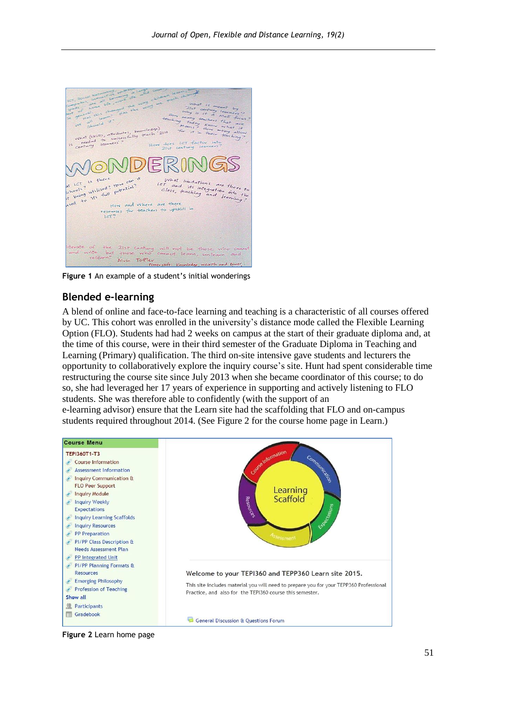

**Figure 1** An example of a student's initial wonderings

#### **Blended e-learning**

A blend of online and face-to-face learning and teaching is a characteristic of all courses offered by UC. This cohort was enrolled in the university's distance mode called the Flexible Learning Option (FLO). Students had had 2 weeks on campus at the start of their graduate diploma and, at the time of this course, were in their third semester of the Graduate Diploma in Teaching and Learning (Primary) qualification. The third on-site intensive gave students and lecturers the opportunity to collaboratively explore the inquiry course's site. Hunt had spent considerable time restructuring the course site since July 2013 when she became coordinator of this course; to do so, she had leveraged her 17 years of experience in supporting and actively listening to FLO students. She was therefore able to confidently (with the support of an e-learning advisor) ensure that the Learn site had the scaffolding that FLO and on-campus students required throughout 2014. (See Figure 2 for the course home page in Learn.)



**Figure 2** Learn home page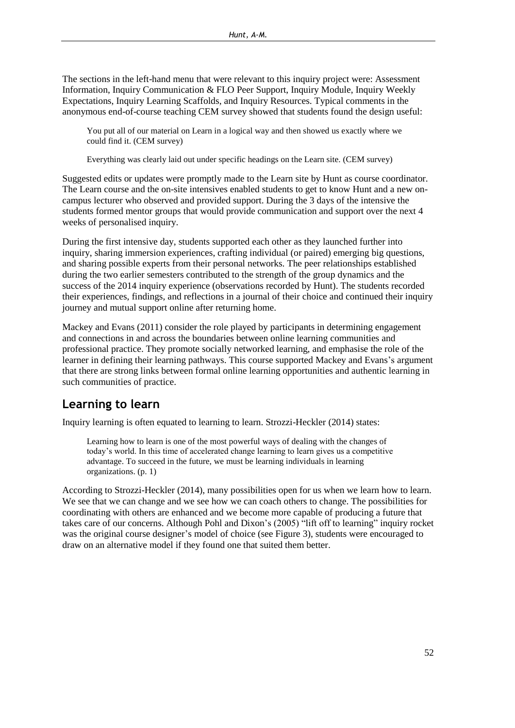The sections in the left-hand menu that were relevant to this inquiry project were: Assessment Information, Inquiry Communication & FLO Peer Support, Inquiry Module, Inquiry Weekly Expectations, Inquiry Learning Scaffolds, and Inquiry Resources. Typical comments in the anonymous end-of-course teaching CEM survey showed that students found the design useful:

You put all of our material on Learn in a logical way and then showed us exactly where we could find it. (CEM survey)

Everything was clearly laid out under specific headings on the Learn site. (CEM survey)

Suggested edits or updates were promptly made to the Learn site by Hunt as course coordinator. The Learn course and the on-site intensives enabled students to get to know Hunt and a new oncampus lecturer who observed and provided support. During the 3 days of the intensive the students formed mentor groups that would provide communication and support over the next 4 weeks of personalised inquiry.

During the first intensive day, students supported each other as they launched further into inquiry, sharing immersion experiences, crafting individual (or paired) emerging big questions, and sharing possible experts from their personal networks. The peer relationships established during the two earlier semesters contributed to the strength of the group dynamics and the success of the 2014 inquiry experience (observations recorded by Hunt). The students recorded their experiences, findings, and reflections in a journal of their choice and continued their inquiry journey and mutual support online after returning home.

Mackey and Evans (2011) consider the role played by participants in determining engagement and connections in and across the boundaries between online learning communities and professional practice. They promote socially networked learning, and emphasise the role of the learner in defining their learning pathways. This course supported Mackey and Evans's argument that there are strong links between formal online learning opportunities and authentic learning in such communities of practice.

## **Learning to learn**

Inquiry learning is often equated to learning to learn. Strozzi-Heckler (2014) states:

Learning how to learn is one of the most powerful ways of dealing with the changes of today's world. In this time of accelerated change learning to learn gives us a competitive advantage. To succeed in the future, we must be learning individuals in learning organizations. (p. 1)

According to Strozzi-Heckler (2014), many possibilities open for us when we learn how to learn. We see that we can change and we see how we can coach others to change. The possibilities for coordinating with others are enhanced and we become more capable of producing a future that takes care of our concerns. Although Pohl and Dixon's (2005) "lift off to learning" inquiry rocket was the original course designer's model of choice (see Figure 3), students were encouraged to draw on an alternative model if they found one that suited them better.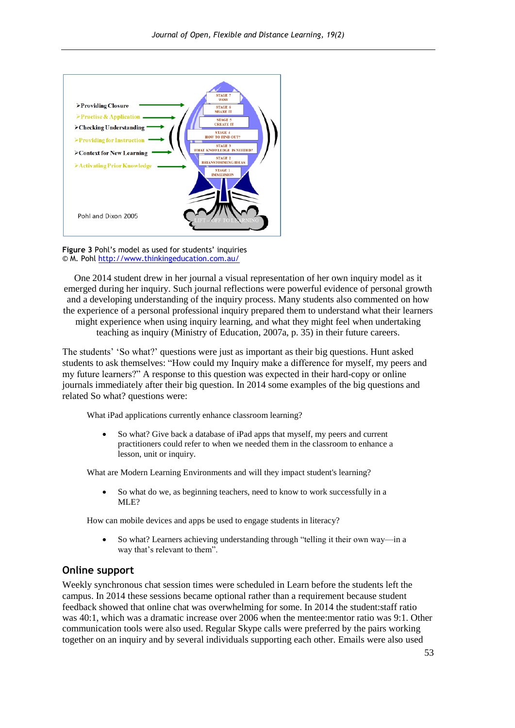

**Figure 3** Pohl's model as used for students' inquiries © M. Poh[l http://www.thinkingeducation.com.au/](http://www.thinkingeducation.com.au/)

One 2014 student drew in her journal a visual representation of her own inquiry model as it emerged during her inquiry. Such journal reflections were powerful evidence of personal growth and a developing understanding of the inquiry process. Many students also commented on how the experience of a personal professional inquiry prepared them to understand what their learners might experience when using inquiry learning, and what they might feel when undertaking teaching as inquiry (Ministry of Education, 2007a, p. 35) in their future careers.

The students' 'So what?' questions were just as important as their big questions. Hunt asked students to ask themselves: "How could my Inquiry make a difference for myself, my peers and my future learners?" A response to this question was expected in their hard-copy or online journals immediately after their big question. In 2014 some examples of the big questions and related So what? questions were:

What iPad applications currently enhance classroom learning?

 So what? Give back a database of iPad apps that myself, my peers and current practitioners could refer to when we needed them in the classroom to enhance a lesson, unit or inquiry.

What are Modern Learning Environments and will they impact student's learning?

 So what do we, as beginning teachers, need to know to work successfully in a MLE?

How can mobile devices and apps be used to engage students in literacy?

 So what? Learners achieving understanding through "telling it their own way—in a way that's relevant to them".

#### **Online support**

Weekly synchronous chat session times were scheduled in Learn before the students left the campus. In 2014 these sessions became optional rather than a requirement because student feedback showed that online chat was overwhelming for some. In 2014 the student:staff ratio was 40:1, which was a dramatic increase over 2006 when the mentee:mentor ratio was 9:1. Other communication tools were also used. Regular Skype calls were preferred by the pairs working together on an inquiry and by several individuals supporting each other. Emails were also used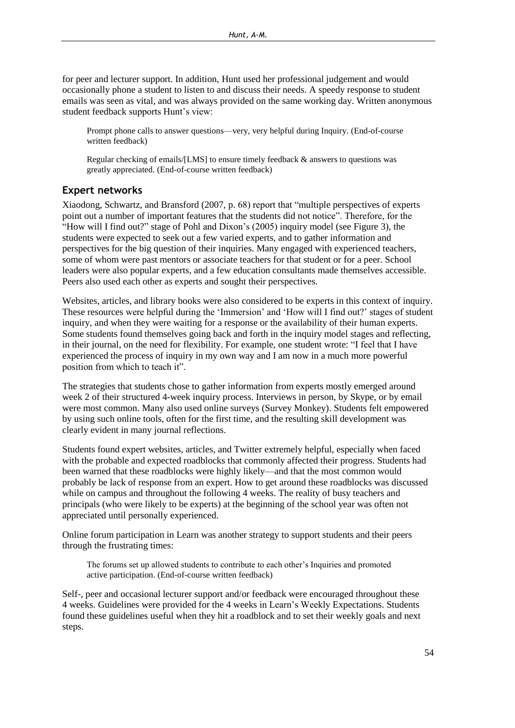for peer and lecturer support. In addition, Hunt used her professional judgement and would occasionally phone a student to listen to and discuss their needs. A speedy response to student emails was seen as vital, and was always provided on the same working day. Written anonymous student feedback supports Hunt's view:

Prompt phone calls to answer questions—very, very helpful during Inquiry. (End-of-course written feedback)

Regular checking of emails/[LMS] to ensure timely feedback & answers to questions was greatly appreciated. (End-of-course written feedback)

#### **Expert networks**

Xiaodong, Schwartz, and Bransford (2007, p. 68) report that "multiple perspectives of experts point out a number of important features that the students did not notice". Therefore, for the "How will I find out?" stage of Pohl and Dixon's (2005) inquiry model (see Figure 3), the students were expected to seek out a few varied experts, and to gather information and perspectives for the big question of their inquiries. Many engaged with experienced teachers, some of whom were past mentors or associate teachers for that student or for a peer. School leaders were also popular experts, and a few education consultants made themselves accessible. Peers also used each other as experts and sought their perspectives.

Websites, articles, and library books were also considered to be experts in this context of inquiry. These resources were helpful during the 'Immersion' and 'How will I find out?' stages of student inquiry, and when they were waiting for a response or the availability of their human experts. Some students found themselves going back and forth in the inquiry model stages and reflecting, in their journal, on the need for flexibility. For example, one student wrote: "I feel that I have experienced the process of inquiry in my own way and I am now in a much more powerful position from which to teach it".

The strategies that students chose to gather information from experts mostly emerged around week 2 of their structured 4-week inquiry process. Interviews in person, by Skype, or by email were most common. Many also used online surveys (Survey Monkey). Students felt empowered by using such online tools, often for the first time, and the resulting skill development was clearly evident in many journal reflections.

Students found expert websites, articles, and Twitter extremely helpful, especially when faced with the probable and expected roadblocks that commonly affected their progress. Students had been warned that these roadblocks were highly likely—and that the most common would probably be lack of response from an expert. How to get around these roadblocks was discussed while on campus and throughout the following 4 weeks. The reality of busy teachers and principals (who were likely to be experts) at the beginning of the school year was often not appreciated until personally experienced.

Online forum participation in Learn was another strategy to support students and their peers through the frustrating times:

The forums set up allowed students to contribute to each other's Inquiries and promoted active participation. (End-of-course written feedback)

Self-, peer and occasional lecturer support and/or feedback were encouraged throughout these 4 weeks. Guidelines were provided for the 4 weeks in Learn's Weekly Expectations. Students found these guidelines useful when they hit a roadblock and to set their weekly goals and next steps.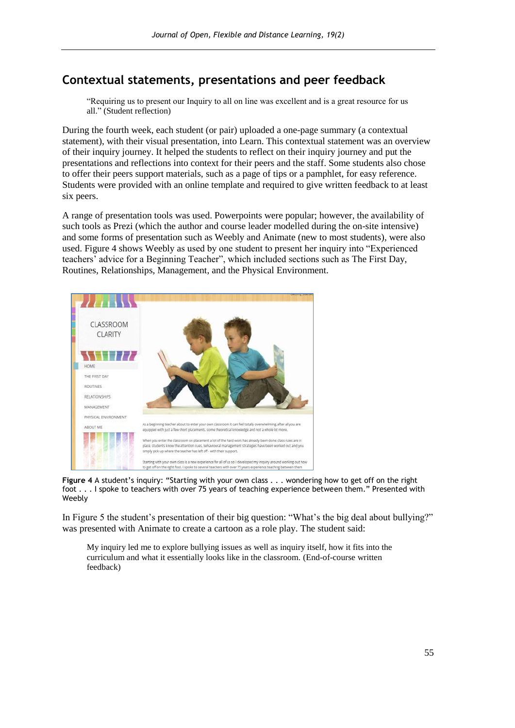## **Contextual statements, presentations and peer feedback**

"Requiring us to present our Inquiry to all on line was excellent and is a great resource for us all." (Student reflection)

During the fourth week, each student (or pair) uploaded a one-page summary (a contextual statement), with their visual presentation, into Learn. This contextual statement was an overview of their inquiry journey. It helped the students to reflect on their inquiry journey and put the presentations and reflections into context for their peers and the staff. Some students also chose to offer their peers support materials, such as a page of tips or a pamphlet, for easy reference. Students were provided with an online template and required to give written feedback to at least six peers.

A range of presentation tools was used. Powerpoints were popular; however, the availability of such tools as Prezi (which the author and course leader modelled during the on-site intensive) and some forms of presentation such as Weebly and Animate (new to most students), were also used. Figure 4 shows Weebly as used by one student to present her inquiry into "Experienced teachers' advice for a Beginning Teacher", which included sections such as The First Day, Routines, Relationships, Management, and the Physical Environment.



**Figure 4** A student's inquiry: "Starting with your own class . . . wondering how to get off on the right foot . . . I spoke to teachers with over 75 years of teaching experience between them." Presented with Weebly

In Figure 5 the student's presentation of their big question: "What's the big deal about bullying?" was presented with Animate to create a cartoon as a role play. The student said:

My inquiry led me to explore bullying issues as well as inquiry itself, how it fits into the curriculum and what it essentially looks like in the classroom. (End-of-course written feedback)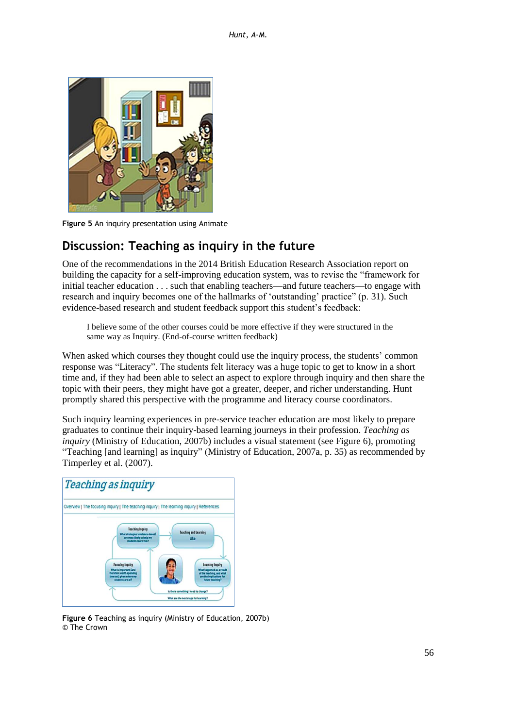

**Figure 5** An inquiry presentation using Animate

### **Discussion: Teaching as inquiry in the future**

One of the recommendations in the 2014 British Education Research Association report on building the capacity for a self-improving education system, was to revise the "framework for initial teacher education . . . such that enabling teachers—and future teachers—to engage with research and inquiry becomes one of the hallmarks of 'outstanding' practice" (p. 31). Such evidence-based research and student feedback support this student's feedback:

I believe some of the other courses could be more effective if they were structured in the same way as Inquiry. (End-of-course written feedback)

When asked which courses they thought could use the inquiry process, the students' common response was "Literacy". The students felt literacy was a huge topic to get to know in a short time and, if they had been able to select an aspect to explore through inquiry and then share the topic with their peers, they might have got a greater, deeper, and richer understanding. Hunt promptly shared this perspective with the programme and literacy course coordinators.

Such inquiry learning experiences in pre-service teacher education are most likely to prepare graduates to continue their inquiry-based learning journeys in their profession. *Teaching as inquiry* (Ministry of Education, 2007b) includes a visual statement (see Figure 6), promoting "Teaching [and learning] as inquiry" (Ministry of Education, 2007a, p. 35) as recommended by Timperley et al. (2007).



**Figure 6** Teaching as inquiry (Ministry of Education, 2007b) © The Crown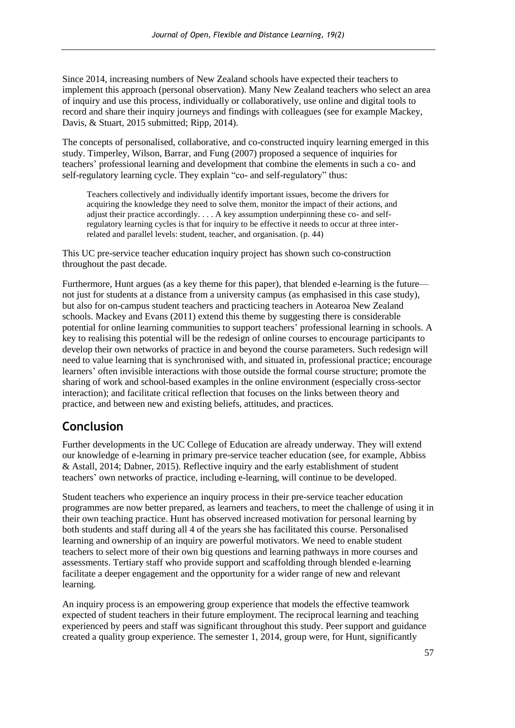Since 2014, increasing numbers of New Zealand schools have expected their teachers to implement this approach (personal observation). Many New Zealand teachers who select an area of inquiry and use this process, individually or collaboratively, use online and digital tools to record and share their inquiry journeys and findings with colleagues (see for example Mackey, Davis, & Stuart, 2015 submitted; Ripp, 2014).

The concepts of personalised, collaborative, and co-constructed inquiry learning emerged in this study. Timperley, Wilson, Barrar, and Fung (2007) proposed a sequence of inquiries for teachers' professional learning and development that combine the elements in such a co- and self-regulatory learning cycle. They explain "co- and self-regulatory" thus:

Teachers collectively and individually identify important issues, become the drivers for acquiring the knowledge they need to solve them, monitor the impact of their actions, and adjust their practice accordingly. . . . A key assumption underpinning these co- and selfregulatory learning cycles is that for inquiry to be effective it needs to occur at three interrelated and parallel levels: student, teacher, and organisation. (p. 44)

This UC pre-service teacher education inquiry project has shown such co-construction throughout the past decade.

Furthermore, Hunt argues (as a key theme for this paper), that blended e-learning is the future not just for students at a distance from a university campus (as emphasised in this case study), but also for on-campus student teachers and practicing teachers in Aotearoa New Zealand schools. Mackey and Evans (2011) extend this theme by suggesting there is considerable potential for online learning communities to support teachers' professional learning in schools. A key to realising this potential will be the redesign of online courses to encourage participants to develop their own networks of practice in and beyond the course parameters. Such redesign will need to value learning that is synchronised with, and situated in, professional practice; encourage learners' often invisible interactions with those outside the formal course structure; promote the sharing of work and school-based examples in the online environment (especially cross-sector interaction); and facilitate critical reflection that focuses on the links between theory and practice, and between new and existing beliefs, attitudes, and practices.

## **Conclusion**

Further developments in the UC College of Education are already underway. They will extend our knowledge of e-learning in primary pre-service teacher education (see, for example, Abbiss & Astall, 2014; Dabner, 2015). Reflective inquiry and the early establishment of student teachers' own networks of practice, including e-learning, will continue to be developed.

Student teachers who experience an inquiry process in their pre-service teacher education programmes are now better prepared, as learners and teachers, to meet the challenge of using it in their own teaching practice. Hunt has observed increased motivation for personal learning by both students and staff during all 4 of the years she has facilitated this course. Personalised learning and ownership of an inquiry are powerful motivators. We need to enable student teachers to select more of their own big questions and learning pathways in more courses and assessments. Tertiary staff who provide support and scaffolding through blended e-learning facilitate a deeper engagement and the opportunity for a wider range of new and relevant learning.

An inquiry process is an empowering group experience that models the effective teamwork expected of student teachers in their future employment. The reciprocal learning and teaching experienced by peers and staff was significant throughout this study. Peer support and guidance created a quality group experience. The semester 1, 2014, group were, for Hunt, significantly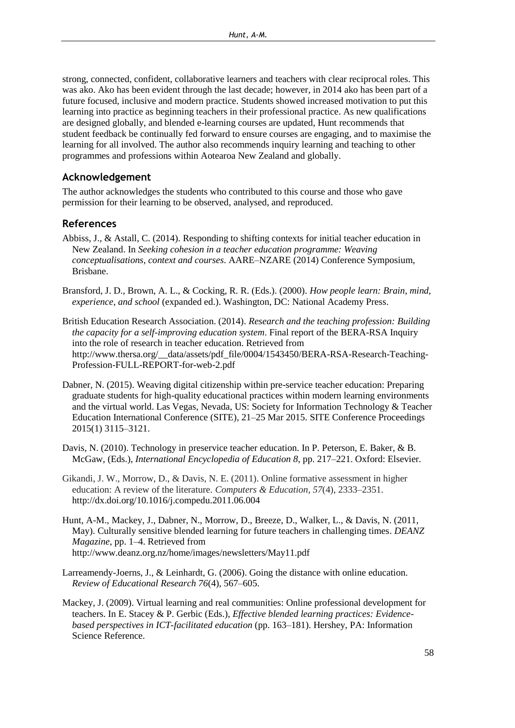strong, connected, confident, collaborative learners and teachers with clear reciprocal roles. This was ako. Ako has been evident through the last decade; however, in 2014 ako has been part of a future focused, inclusive and modern practice. Students showed increased motivation to put this learning into practice as beginning teachers in their professional practice. As new qualifications are designed globally, and blended e-learning courses are updated, Hunt recommends that student feedback be continually fed forward to ensure courses are engaging, and to maximise the learning for all involved. The author also recommends inquiry learning and teaching to other programmes and professions within Aotearoa New Zealand and globally.

#### **Acknowledgement**

The author acknowledges the students who contributed to this course and those who gave permission for their learning to be observed, analysed, and reproduced.

#### **References**

- Abbiss, J., & Astall, C. (2014). Responding to shifting contexts for initial teacher education in New Zealand. In *Seeking cohesion in a teacher education programme: Weaving conceptualisations, context and courses*. AARE–NZARE (2014) Conference Symposium, Brisbane.
- Bransford, J. D., Brown, A. L., & Cocking, R. R. (Eds.). (2000). *How people learn: Brain, mind, experience, and school* (expanded ed.). Washington, DC: National Academy Press.
- British Education Research Association. (2014). *Research and the teaching profession: Building the capacity for a self-improving education system*. Final report of the BERA-RSA Inquiry into the role of research in teacher education. Retrieved from [http://www.thersa.org/\\_\\_data/assets/pdf\\_file/0004/1543450/BERA-RSA-Research-Teaching-](http://www.thersa.org/__data/assets/pdf_file/0004/1543450/BERA-RSA-Research-Teaching-Profession-FULL-REPORT-for-web-2.pdf)[Profession-FULL-REPORT-for-web-2.pdf](http://www.thersa.org/__data/assets/pdf_file/0004/1543450/BERA-RSA-Research-Teaching-Profession-FULL-REPORT-for-web-2.pdf)
- Dabner, N. (2015). Weaving digital citizenship within pre-service teacher education: Preparing graduate students for high-quality educational practices within modern learning environments and the virtual world. Las Vegas, Nevada, US: Society for Information Technology & Teacher Education International Conference (SITE), 21–25 Mar 2015. SITE Conference Proceedings 2015(1) 3115–3121.
- Davis, N. (2010). Technology in preservice teacher education. In P. Peterson, E. Baker, & B. McGaw, (Eds.), *International Encyclopedia of Education 8*, pp. 217–221. Oxford: Elsevier.
- Gikandi, J. W., Morrow, D., & Davis, N. E. (2011). Online formative assessment in higher education: A review of the literature. *Computers & Education, 57*(4), 2333–2351. <http://dx.doi.org/10.1016/j.compedu.2011.06.004>
- Hunt, A-M., Mackey, J., Dabner, N., Morrow, D., Breeze, D., Walker, L., & Davis, N. (2011, May). Culturally sensitive blended learning for future teachers in challenging times. *DEANZ Magazine*, pp. 1–4. Retrieved from <http://www.deanz.org.nz/home/images/newsletters/May11.pdf>
- Larreamendy-Joerns, J., & Leinhardt, G. (2006). Going the distance with online education. *Review of Educational Research 76*(4), 567–605.
- Mackey, J. (2009). Virtual learning and real communities: Online professional development for teachers. In E. Stacey & P. Gerbic (Eds.), *Effective blended learning practices: Evidencebased perspectives in ICT-facilitated education* (pp. 163–181). Hershey, PA: Information Science Reference.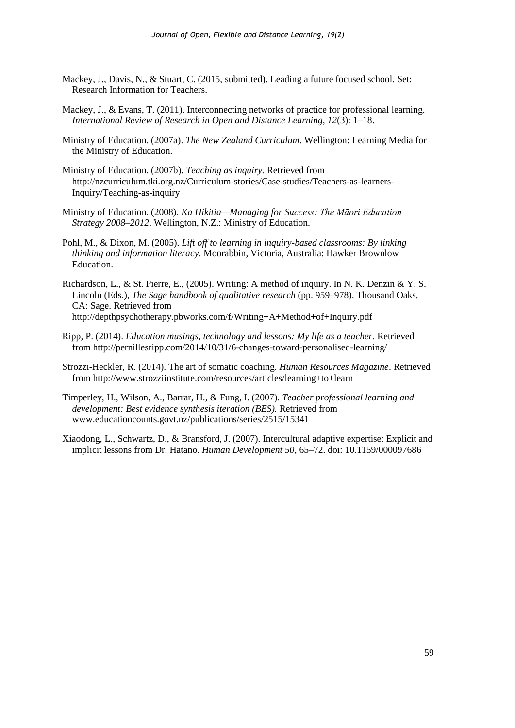- Mackey, J., Davis, N., & Stuart, C. (2015, submitted). Leading a future focused school. Set: Research Information for Teachers.
- Mackey, J., & Evans, T. (2011). Interconnecting networks of practice for professional learning. *International Review of Research in Open and Distance Learning, 12*(3): 1–18.
- Ministry of Education. (2007a). *The New Zealand Curriculum*. Wellington: Learning Media for the Ministry of Education.
- Ministry of Education. (2007b). *Teaching as inquiry.* Retrieved from [http://nzcurriculum.tki.org.nz/Curriculum-stories/Case-studies/Teachers-as-learners-](http://nzcurriculum.tki.org.nz/Curriculum-stories/Case-studies/Teachers-as-learners-Inquiry/Teaching-as-inquiry)[Inquiry/Teaching-as-inquiry](http://nzcurriculum.tki.org.nz/Curriculum-stories/Case-studies/Teachers-as-learners-Inquiry/Teaching-as-inquiry)
- Ministry of Education. (2008). *Ka Hikitia—Managing for Success: The Māori Education Strategy 2008–2012*. Wellington, N.Z.: Ministry of Education.
- Pohl, M., & Dixon, M. (2005). *Lift off to learning in inquiry-based classrooms: By linking thinking and information literacy*. Moorabbin, Victoria, Australia: Hawker Brownlow Education.
- Richardson, L., & St. Pierre, E., (2005). Writing: A method of inquiry. In N. K. Denzin & Y. S. Lincoln (Eds.), *The Sage handbook of qualitative research* (pp. 959–978). Thousand Oaks, CA: Sage. Retrieved from <http://depthpsychotherapy.pbworks.com/f/Writing+A+Method+of+Inquiry.pdf>
- Ripp, P. (2014). *Education musings, technology and lessons: My life as a teacher*. Retrieved from [http://pernillesripp.com/2014/10/31/6-changes-toward-personalised-learning/](http://pernillesripp.com/2014/10/31/6-changes-toward-personalized-learning/)
- Strozzi-Heckler, R. (2014). The art of somatic coaching. *Human Resources Magazine*. Retrieved from<http://www.strozziinstitute.com/resources/articles/learning+to+learn>
- Timperley, H., Wilson, A., Barrar, H., & Fung, I. (2007). *Teacher professional learning and development: Best evidence synthesis iteration (BES).* Retrieved from [www.educationcounts.govt.nz/publications/series/2515/15341](http://www.educationcounts.govt.nz/publications/series/2515/15341)
- Xiaodong, L., Schwartz, D., & Bransford, J. (2007). Intercultural adaptive expertise: Explicit and implicit lessons from Dr. Hatano. *Human Development 50*, 65–72. doi: 10.1159/000097686